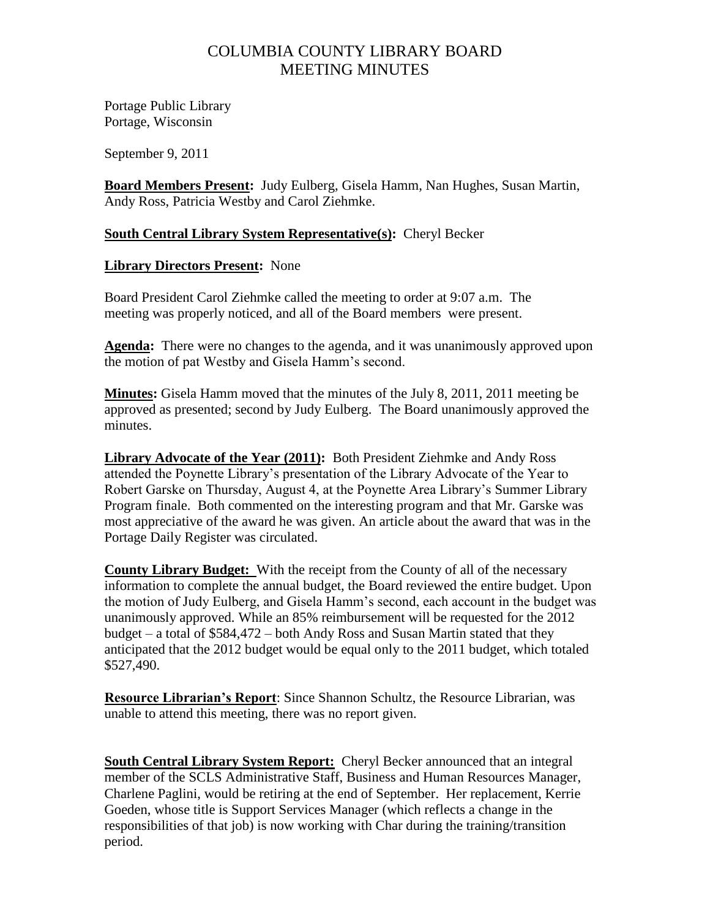## COLUMBIA COUNTY LIBRARY BOARD MEETING MINUTES

Portage Public Library Portage, Wisconsin

September 9, 2011

**Board Members Present:** Judy Eulberg, Gisela Hamm, Nan Hughes, Susan Martin, Andy Ross, Patricia Westby and Carol Ziehmke.

## **South Central Library System Representative(s):** Cheryl Becker

## **Library Directors Present:** None

Board President Carol Ziehmke called the meeting to order at 9:07 a.m. The meeting was properly noticed, and all of the Board members were present.

**Agenda:** There were no changes to the agenda, and it was unanimously approved upon the motion of pat Westby and Gisela Hamm's second.

**Minutes:** Gisela Hamm moved that the minutes of the July 8, 2011, 2011 meeting be approved as presented; second by Judy Eulberg. The Board unanimously approved the minutes.

**Library Advocate of the Year (2011):** Both President Ziehmke and Andy Ross attended the Poynette Library's presentation of the Library Advocate of the Year to Robert Garske on Thursday, August 4, at the Poynette Area Library's Summer Library Program finale. Both commented on the interesting program and that Mr. Garske was most appreciative of the award he was given. An article about the award that was in the Portage Daily Register was circulated.

**County Library Budget:** With the receipt from the County of all of the necessary information to complete the annual budget, the Board reviewed the entire budget. Upon the motion of Judy Eulberg, and Gisela Hamm's second, each account in the budget was unanimously approved. While an 85% reimbursement will be requested for the 2012 budget – a total of \$584,472 – both Andy Ross and Susan Martin stated that they anticipated that the 2012 budget would be equal only to the 2011 budget, which totaled \$527,490.

**Resource Librarian's Report**: Since Shannon Schultz, the Resource Librarian, was unable to attend this meeting, there was no report given.

**South Central Library System Report:** Cheryl Becker announced that an integral member of the SCLS Administrative Staff, Business and Human Resources Manager, Charlene Paglini, would be retiring at the end of September. Her replacement, Kerrie Goeden, whose title is Support Services Manager (which reflects a change in the responsibilities of that job) is now working with Char during the training/transition period.